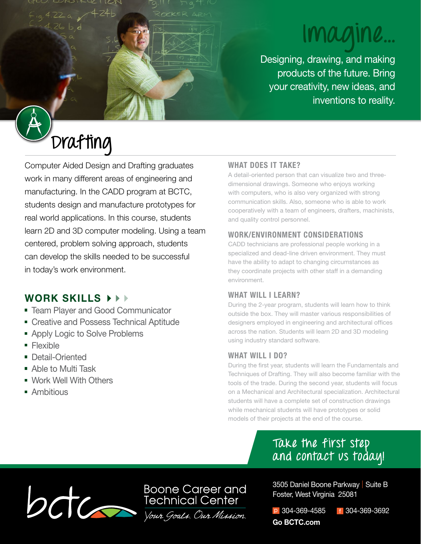# **Imagine...**

Designing, drawing, and making products of the future. Bring your creativity, new ideas, and inventions to reality.

# **Drafting**

Computer Aided Design and Drafting graduates work in many different areas of engineering and manufacturing. In the CADD program at BCTC, students design and manufacture prototypes for real world applications. In this course, students learn 2D and 3D computer modeling. Using a team centered, problem solving approach, students can develop the skills needed to be successful in today's work environment.

# **WORK SKILLS**

- **Team Player and Good Communicator**
- **Creative and Possess Technical Aptitude**
- **Apply Logic to Solve Problems**
- **Flexible**
- **Detail-Oriented**
- Able to Multi Task
- Work Well With Others
- **Ambitious**

# **WHAT DOES IT TAKE?**

A detail-oriented person that can visualize two and threedimensional drawings. Someone who enjoys working with computers, who is also very organized with strong communication skills. Also, someone who is able to work cooperatively with a team of engineers, drafters, machinists, and quality control personnel.

### **WORK/ENVIRONMENT CONSIDERATIONS**

CADD technicians are professional people working in a specialized and dead-line driven environment. They must have the ability to adapt to changing circumstances as they coordinate projects with other staff in a demanding environment.

# **WHAT WILL I LEARN?**

During the 2-year program, students will learn how to think outside the box. They will master various responsibilities of designers employed in engineering and architectural offices across the nation. Students will learn 2D and 3D modeling using industry standard software.

### **WHAT WILL I DO?**

During the first year, students will learn the Fundamentals and Techniques of Drafting. They will also become familiar with the tools of the trade. During the second year, students will focus on a Mechanical and Architectural specialization. Architectural students will have a complete set of construction drawings while mechanical students will have prototypes or solid models of their projects at the end of the course.

# **Take the first step and contact us today!**



**Boone Career and** 

3505 Daniel Boone Parkway | Suite B Foster, West Virginia 25081

p 304-369-4585 f 304-369-3692 **Go BCTC.com**